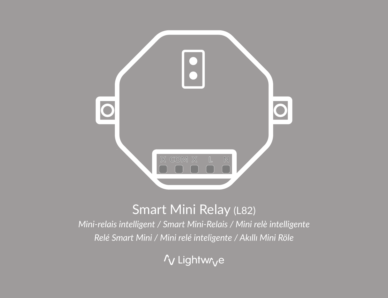

# Smart Mini Relay (L82)

*Mini-relais intelligent / Smart Mini-Relais / Mini relè intelligente Relé Smart Mini / Mini relé inteligente / Akıllı Mini Röle*

/v Lightw/ve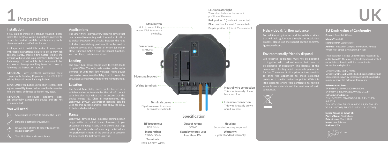

#### **Installation**

If you plan to install this product yourself, please follow the electrical wiring instructions carefully to ensure the product is installed safely, if in any doubt please consult a qualified electrician.

It is important to install this product in accordance with these instructions. Failure to do so may risk personal safety, create a fire hazard, violate the law and will also void your warranty. LightwaveRF Technology Ltd will not be held responsible for any loss or damage resulting from not correctly following the instruction manual.

**IMPORTANT:** Any electrical installation must comply with Building Regulations, BS 7671 (IET Wiring Regulations) or local equivalent.

**IMPORTANT:** If conducting an insulation resistance test, any hard-wired Lightwave devices must be disconnected from the mains, or damage to the unit may occur.

**IMPORTANT:** High-Power inductive loads can potentially damage the device and are not recommended.

#### **You will need**

 $\lambda$  safe place in which to situate the Relay  $\lambda$ 

- 
- Knowledge of how to safely turn off/on mains electricity
- Your Link Plus and smartphone

#### **Applications**

The Smart Mini Relay is a very versatile device that can be used to remotely switch on/off a circuit or to switch between two circuits. Because the relay includes three latching positions, it can be used to operate devices that require an on/off (or open/ close) function AND a stop (or pause) function, such as blinds, curtains and doors.

#### **Loading**

The Smart Mini Relay can be used to switch loads of up to 500W. The switched circuit/s can be mains powered or volts free (low voltage). Mains power can also be taken from the Relay itself to power the circuit (see wiring instructions for more information).

#### **Location**

The Smart Mini Relay needs to be housed in a suitable enclosure to minimise the risk of contact with live electrical wires and to ensure that the device meets IEC Class II requirements. The Lightwave LW824 Waterproof housing can be used for this purpose and will also allow the Relay to be installed outdoors.

#### **Range**

Lightwave devices have excellent communication range within a typical home, however, if you metal objects or bodies of water (e.g. radiators) are not positioned in front of the device or in between the device and the Lightwave Link Plus.



Less than 1W

230V~ 50Hz Terminals: Max 1.5mm2 wires

## **LED indicator light**

The colour indicates the current position of the relay.

**Red:** position 0 (no circuit connected)

2 year standard warranty

#### **Help video & further guidance**

For additional guidance, and to watch a video that will help guide you through the installation process, please visit the support section on **www. lightwaverf.com.**

#### **Environmentally friendly disposal**

Old electrical appliances must not be disposed of together with residual waste, but have to be disposed of separately. The disposal at the communal collecting point via private persons is for free. The owner of old appliances is responsible points or to similar collection points. With this little personal effort, you contribute to recycle valuable raw materials and the treatment of toxic substances.



#### EU Declaration of Conformity

Product: Smart Mini Relay Model/Type: L82 Manufacturer: LightwaveRF Address: Innovation Campus Birmingham, Faraday Wharf, Holt Street, Birmingham, B7 4BB

of LightwaveRF. The object of the declaration described

requirements of the following documents:

#### Reference and date:

Signed for and on behalf of: Place of Issue: Birmingham Date of Issue: March 2019 Name: Huw Bristow Position: CTO

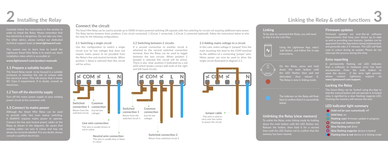# **Installing the Relay**

Carefully follow the instructions in this section in order to install the Relay. Please remember that live electricity is dangerous. Do not take any risks. For other advice, please contact our dedicated technical support team at **www.lightwaverf.com**.

The easiest way to learn how to install the Lightwave Smart Mini Relay is to watch our short installation video which is accessible at

**www.lightwaverf.com/product-manuals**

#### **1.1 Prepare a suitable location**

The Smart Relay needs to be housed in a suitable enclosure to minimise the risk of contact with live electrical wires. This will ensure that it meets IEC Class II requirement. If in doubt, consult an electrician.

## **1.2 Turn off the electricity supply**

Turn off the mains power supply to your existing

#### **1.3 Connect to mains power**

Although the Smart Mini Relay can be used to provide volts free (non mains) switching, Connect the line and neutral power cables to the Relay as shown in the diagrams. Be aware that existing cables can vary in colour and may not always be correctly labelled. If in any doubt, always consult a qualified electrician.

### **Connect the circuit**

The Smart Mini Relay can be used to provide up to 500W of mains powered switching OR separate volts free switching for circuits not requiring additional mains power. The Relay latches between three positions: 0 (no circuit connected), 1 (Circuit 1 connected), 2 (Circuit 2 connected (optional)). Follow the instructions below to wire the relay for the following configurations.

#### **2.1 Switching a single circuit**

Use this configuration to switch a single circuit (can be low voltage) that does not require mains power to be provided from the Relay's line and neutral terminals. When position 1 (blue) is selected then this circuit will be active.



#### **2.2 Switching between 2 circuits**

If a second connection to another circuit is attached to the second switched connection terminal, then the Relay can be used to toggle between the two circuits. When position 2 (purple) is selected this circuit will be active. There is also 'stop' position 0 (indicated by a red LED) which breaks contact with both of the right and left-hand circuits.



#### **2.3 Adding mains voltage to a circuit** In this case, mains voltage is 'jumped' from the

main incoming line feed to the COM terminal by the addition of a connecting 'jumper' wire. Mains power can now be used to drive the single circuit illustrated in diagram 2.1.



### **Linking**

**X COM X L N**

To be able to command the Relay, you will need to link it to the Link Plus.



## down the main button until the LED flashes blue and red alternately then release it. The Relay is now in linking mode.

The indicator on the Relay will flash blue to confirm that it is successfully

**Unlinking the Relay (clear memory)** To unlink the Relay, enter linking mode by holding down the main button until the LED flashes red. Release the button, then hold it for a second time until the LED flashes red to confirm that the memory has been cleared.

#### **Firmware updates**

Firmware updates are over-the-air software improvements that keep your device up to date approved from the App before being implemented, and generally take 2-5 minutes. The LED will flash cyan in colour during an update. Please do not interrupt the process during this time.

#### **Error reporting**

A permanently flashing red LED indicates that a software or hardware error has been encountered. Press the main button to reset the device. If the error light persists, please contact Lightwave support via **www.lightwaverf.com/support**.

#### **Locking the Relay**

The Smart Relay can be 'locked' using the App so that the manual button will not operate it. A locked relay is signified by a slow flashing magenta LED. Clearing the memory will remove the lock.

#### **LED indicator light summary**

- **Solid red (or user customised):** off
- **Solid blue:** on
- **C** Flashing cyan: firmware update in progress
- **O** Flashing red: memory full
- **C** Slow flashing red: Error
- **O** Slow flashing magenta: device is locked
- **C** Flashing blue & red: device is in linking mode

**2 Linking the Relay & other functions 3**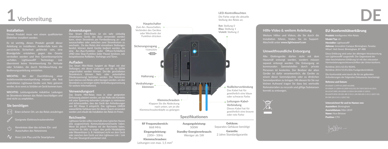

#### **Installation**

Elektriker installiert werden.

Es ist wichtig, dieses Produkt gemäß dieser Anleitung zu installieren. Andernfalls kann die persönliche Sicherheit gefährdet sein, eine Brandgefahr entstehen, gegen das Gesetz verstoßen werden und Ihre Garantieansprüche übernimmt keine Verantwortung für Verluste oder Schäden, die durch Nichtbeachtung der Bedienungsanleitung entstehen.

Isolationswiderstandsprüfung müssen alle fest verdrahteten Lightwave-Geräte vom Netz getrennt werden, da es sonst zu Schäden am Gerät kommen kann.

**WICHTIG:** Leistungsstarke induktive Ladungen im Stromkreis können das Relais beschädigen und sind nicht zu empfehlen.

#### **Sie benötigen**

- .<br>Einen sicheren Ort, um das Relais anzubringen Geeignete Elektroschraubendreher
- Kenntnisse über das sichere Ein- und  $\mathcal{C}^{\left[ \cdot \right]}$ Ausschalten des Netzstroms

 $\sqrt{\sqrt{1-\ln^2(1-\ln^2(1-\ln^2(1-\ln^2(1-\ln^2(1-\ln^2(1-\ln^2(1-\ln^2(1-\ln^2(1-\ln^2(1-\ln^2(1-\ln^2(1-\ln^2(1-\ln^2(1-\ln^2(1-\ln^2(1-\ln^2(1-\ln^2(1-\ln^2(1-\ln^2(1-\ln^2(1-\ln^2(1-\ln^2(1-\ln^2(1-\ln^2(1-\ln^2(1-\ln^2(1-\ln^2(1-\ln^2(1-\ln^2(1-\ln^2(1-\ln^2(1-\ln^2(1-\ln^2(1-\ln^2(1-\ln^2$ 

#### **Anwendungen**

Das Smart Mini-Relais ist ein sehr vielseitig einsetzbares Gerät, das dazu verwendet werden auszuschalten oder zwischen zwei Stromkreisen zu wechseln. Da das Relais drei einrastbare Stellungen besitzt, können damit Geräte bedient werden, die eine An-/Aus-Funktion (oder Öffnen/Schließen) UND eine Stop-Funktion (oder Pause) besitzen, wie beispielsweise Rollläden, Vorhänge und Türen.

#### **Aufladen**

Das Smart Mini-Relais fungiert als Riegel mit drei Stellungen, mit denen Ladungen von bis zu 500W umgeschaltet werden können. Der/die geschalteten Stromkreis/e können Netz oder potentialfrei (Niederspannung) betrieben werden. Der Netzstrom kann ebenso vom Relais selbst bezogen werden, um den Stromkreis zu versorgen (siehe Verdrahtungsanweisung für weitere Informationen).

#### **Verwendungsort**

Das Smarte Mini-Relais muss in einer geeigneten Einhausung platziert werden, um das Risiko des Kontakts mit unter Spannung stehenden Leitungen zu minimieren und sicherzustellen, dass das Gerät den Anforderungen von IEC Klasse II entspricht. Das Lightwave LW824 wasserdichte Gehäuse kann für diesen Zweck verwendet werden und erlaubt die Installation des Relais im Freien.

#### **Reichweite**

Lightwave Geräte sollten innerhalb eines typischen Hauses eine ausgezeichnete Kommunikationsreichweite haben. Wenn Sie jedoch Probleme mit der Reichweite haben, versuchen Sie dafür zu sorgen, dass große Metallobjekte oder Wasserkörper (z. B. Heizkörper) nicht vor dem Gerät oder zwischen dem Gerät und dem Lightwave Link / Link Plus oder Steuergerät positioniert sind.



## **Hilfe-Video & weitere Anleitung**

**LED-Kontrollleuchten**

Weitere Hilfen und Videos, die Sie durch die Installation führen, finden Sie im Support-Abschnitt unter **www.lightwaverf.com**

#### **Umweltfreundliche Entsorgung**

Alte Elektrogeräte dürfen nicht mit dem Hausmüll entsorgt werden, sondern müssen separat entsorgt werden. Die Entsorgung an kommunalen Sammelstellen durch private Geräte ist dafür verantwortlich, die Geräte zu einem dieser Sammelpunkte oder zu ähnlichen Sammelpunkten zu bringen. Mit diesem für Sie nur kleinen Aufwand tragen Sie dazu bei, wertvolle Rohmaterialien zu recyceln und giftige Substanzen korrekt zu entsorgen.



Model/Typ: L8 Hersteller: LightwaveRF

> Adresse: Innovation Campus Birmingham, Faraday Wharf, Holt Street, Birmingham, B7 4BB

EU-Konformitätserklärung Produkt: Intelligentes Mini-Relais

Diese Erklärung wird unter der alleinigen Verantwortung von LightwaveRF ausgestellt. Der Gegenstand der Harmonisierungsrechtsvorschriften der Union konform.

#### Referenz und Datum:

Unterzeichnet für und im Namen von:

Ausstellort: Birmingham Ausstelldatum: März 2019 Name: Huw Bristow Position: CTO

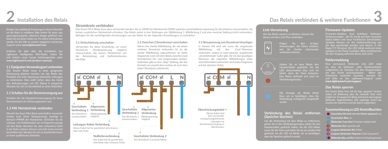# **Installation des Relais 2 Das Relais verbinden & weitere Funktionen 3**

um das Relais zu installieren. Bitte denken Sie daran, dass spannungserzeugende, elektrische Anlagen gefährlich sind. Setzen Sie sich keiner Gefahr aus. Für weitere Informationen wenden Sie sich bitte an unseren engagierten technischen Support unter **www.lightwaverf.com.**

Erfahren Sie alles über die Installation des sich einfach unser kurzes Anleitungsvideo unter **www.lightwaverf.com/product-manuals.**

**1.1 Geeigneten Verwendungsort vorbereiten** Das Smarte Relais muss in einer geeigneten Einhausung platziert werden, um das Risiko des Kontakts mit unter Spannung stehenden Leitungen zu minimieren. Dies stellt sicher, dass das Gerät den Anforderungen von IEC Klasse II entspricht. Wenden Sie sich im Zweifelsfall an einen Elektriker.

**1.1 Schalten Sie die Stromversorgung aus**

Schalten Sie die Hauptstromversorgung für Ihren Stromkreislauf am Sicherungskasten aus.

#### **1.3 Mit Netzbetrieb verbinden**

Obwohl das Smart Mini-Relais potentialfrei verwendet werden kann (ohne Netzspannung), benötigt es dennoch IMMER den Netzbetrieb. Verbinden Sie die Leitungs- und Nulleiterkabel wie im Diagramm gezeigt mit dem Relais. Beachten Sie, dass vorhandene Kabe in der Farbe variieren können und nicht immer korrekt beschriftet sind. Wenden Sie sich im Zweifelsfall immer an einen qualifizierten Elektriker.

#### **Stromkreis verbinden**

Das Smart Mini-Relais kann dazu verwendet werden, bis zu 500W bei Netzbetrieb ODER separater potentialfreier Spannung für Stromkreise umzuschalten, die keinen zusätzlichen Netzbetrieb erfordern. Das Relais rastet in drei Stellungen ein: Wählleitung 1, Wählleitung 2 und eine neutrale Stellung (nicht verbunden). Befolgen Sie die nachfolgenden Anweisungen, um das Relais für die folgenden Einstellungen zu verdrahten.

#### **2.1 Einfachleitung umschalten**

Verwenden Sie diese Einstellung, um einen Stromkreis (Niederspannung möglich) umzuschalten, der keinen Netzbetrieb von der Relaisleitung und Nullleiterklemme benötigt.



eine blaue oder schwarze Farbe

#### **2.2 Zwischen 2 Stromkreisen umschalten**

Wenn eine zweite Wählleitung, die mit einem weiteren Stromkreis verbunden ist, an die zweite Wählleitung angeschlossen ist (siehe Diagramm), kann mit dem Relais zwischen zwei Stromkreisen hin- und hergeschaltet werden. Außerdem gibt es eine "Stop"-Stellung, die den Kontakt von sowohl dem rechten als auch dem linken Stromkreis unterbricht.



## **2.3 Netzspannung zum Stromkreis hinzufügen**

In diesem Fall wird wie zuvor die eingehende Wählleitung mit den "Com"-Klemmen verbunden, sodass es zwei separate, ausgehende "stromführende" Leiter gibt, die mit den jeweiligen Klemmen der separaten Wählleitungen (oder stromführenden) verbunden sind (siehe Diagramm auf der nächsten Seite).



#### **Link-Vernetzung**

Um das Relais steuern zu können, müssen Sie dieses mit dem Link Plus verbinden.



Folgen Sie den In-Appwie Sie Geräte miteinander verbinden können.



wurde.

#### Halten Sie an dem Relais den LED abwechselnd blau und rot blinkt, dann die Taste loslassen. Das Relais befindet sich jetzt im Verbindungsmodus.

Die Anzeige am Relais blinkt blau, um zu bestätigen, dass die Verbindung erfolgreich hergestellt

#### **Verbindung des Relais entfernen (Speicher löschen)**

Um die Verbindung mit dem Relais zu entfernenn, gehen Sie in den Verbindungsmodus, indem Sie den Hauptschalter gedrückt halten, bis die LED blinkt. Lösen Sie die Taste und halten Sie sie ein zweites Mal gedrückt, bis die LED rot blinkt, um zu bestätigen, dass der Speicher gelöscht wurde.

#### **Firmware-Updates**

Firmware-Updates sind drahtlose Software-Verbesserungen , die Ihr Gerät auf dem neuesten Stand halten und neue Funktionen bereitstellen. Updates können vor der Implementierung von der App genehmigt werden und dauern in der Regel 2-5 Minuten. Die LED blinkt während eines Updates in der Farbe Cyanblau. Bitte unterbrechen Sie den Vorgang während dieser Zeit nicht.

#### **Fehlermeldung**

Eine permanent blinkende rote LED zeigt an, dass ein Software- oder Hardwarefehler aufgetreten ist. Drücken Sie den Hauptschalter, um das Gerät zurückzusetzen. Wenn das Fehlerlicht weiterhin leuchtet, wenden Sie sich bitte an den Lightwave-Support unter www.lightwaverf.com/support.

#### **Das Relais sperren**

Das Smarte Relais kann mit der App "gesperrt" werden, sodass die Bedienung über die manuelle Taste nicht möglich ist. Ein gesperrtes Relais wird durch eine langsam blinkende, magentafarbene LED angezeigt. Durch das Löschen des Speichers wird die Sperre aufgehoben.

#### **Zusammenfassung zu LED-Kontrollleuchten**

**Com** Dauerhaftes Rot (oder wie vom Nutzer angepasst): aus

**Dauerhaftes Blau:** an

- **Blinkendes Cyan-blau: Firmware-Update läuft**
- **Blinkendes Rot:** Speicher voll
- **Langsam blinkendes Rot:** Fehler

**Langsam blinkendes Magenta:** Gerät ist gesperrt

**Blinkendes Blau und Rot:** Gerät ist im Kopplungsmodus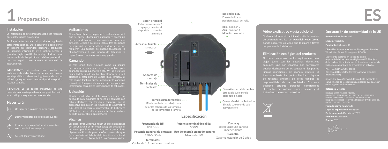

#### **Instalación**

La instalación de este producto debe ser realizada por unelectricista cualificado.

Es importante instalar el producto siguiendo estas instrucciones. De lo contrario, podría poner en peligro su seguridad personal, producirse un incendio, infringir la ley o incluso perder la garantía. LightwaveRF Technology Ltd no será responsable de las pérdidas o daños producidos por no seguir correctamente el manual de instrucciones.

**IMPORTANTE:** si realiza una prueba de resistencia de aislamiento, se deben desconectar los dispositivos cableados Lightwave de la red eléctrica, ya que, de no hacerlo, el producto podría resultar dañado.

**IMPORTANTE:** las cargas inductivas de alta en el relé, por lo que no se recomiendan.

#### **Necesitará**

- Un lugar seguro para colocar el relé
- 
- Conocer cómo cortar/dar el suministro e<br>léctrico de forma segura i

#### **Aplicaciones**

El relé Smart Mini es un producto realmente versátil que se puede utilizar para encender y apagar un circuito a distancia, o para conmutar entre dos circuitos. Debido a que el relé incluye tres posiciones de seguridad, se puede utilizar en dispositivos que requieren una función de encendido/apagado (o abierto/cerrado) Y una función de detención (o reposo), como persianas, cortinas y puertas.

#### **Cargando**

El relé Smart Mini funciona como un seguro de tres posiciones que se puede utilizar para conmutar cargas superiores a 500 W. El circuito(s) conmutado(s) puede recibir alimentación de la red eléctrica o estar libre de voltios (baja tensión). El relé mismo también puede suministrar la conexión a la red eléctrica para alimentar el circuito (para más información, consulte las instrucciones de cableado).

#### **Ubicación**

El relé Smart Mini se debe colocar en una caja adecuada para minimizar el riesgo de contacto con cables eléctricos con tensión y garantizar que el dispositivo cumpla con los requisitos de la normativa IEC Clase II. La carcasa impermeable de Lightwave LW824 se puede utilizar para este fin y también permite instalar el relé en exteriores.

#### **Alcance**

Los dispositivos Lightwave tienen un excelente alcance de comunicación en un hogar tpico; sin embargo, si encuentra problemas de alcance, revise que no haya objetos metálicos de gran tamaño o masas de agua (p. ej. radiadores) delante del dispositivo o entre el dispositivo y el Lightwave Link / Link Plus o regulador.



Menos de 1W

#### **Indicador LED**

El color indica la posición actual del relé.

Garantía: Garantía estándar de 2 años

#### **Vídeo explicativo y guía adicional**

Si desea información adicional, visite la sección de asistencia técnica de **www.lightwaverf.com.**, donde podrá ver un vídeo que lo guiará a través del proceso de instalación.

#### **Eliminación ecológica del producto**

No debe deshacerse de los equipos eléctricos viejos junto con los desechos domésticos comunes, sino por separado. Los particulares pueden deshacerse de los equipos en los puntos limpios municipales de manera gratuita. El transporte hasta los puntos limpios o lugares de recogida similares de estos equipos es pequeño esfuerzo personal, contribuimos al reciclaje de materias primas valiosas y al tratamiento de sustancias tóxicas.

 $\nabla$ 

#### Declaración de conformidad de la UE

Producto: Relé Smart Mini Modelo/Tipo: L82

Fabricante: LightwaveRF

Dirección: Innovation Campus Birmingham, Faraday Wharf, Holt Street, Birmingham, B7 4BB

responsabilidad exclusiva de LightwaveRF. El objeto de la declaración anteriormente descrita se adecua a la

Radioeléctricos)

#### Referencia y fecha:

EN 60669-1:1999+A1:2002+A2:2008, EN 60669-2-1:2004+A1:2009+A12:210, EN 55015:2013+A1:2015,

Firmado por y a nombre de: Lugar de expedición: Birmingham Fecha de expedición: Marzo 2019

Nombre: Huw Bristow Puesto: CTO



230V~ 50Hz Terminales: Cables de 1,5 mm<sup>2</sup> como máximo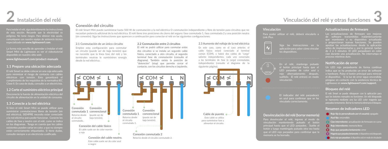# **Instalación del relé**

de esta sección. Recuerde que la electricidad es peligrosa. No tome riesgos. Para obtener más ayuda, comuníquese con nuestro equipo de asistencia técnica especializado en **www.lightwaverf.com**.

Smart Mini de Lightwave es ver el videotutorial disponible en nuestro sitio web

**www.lightwaverf.com/product-manuals**

#### **1.1 Prepare una ubicación adecuada**

El relé Smart se debe colocar en una caja adecuada para minimizar el riesgo de contacto con cables eléctricos con tensión. Esto garantizará el cumplimiento de los requisitos de la normativa IEC Clase II. En caso de duda, consulte a un electricista.

#### **1.2 Corte el suministro eléctrico principal**

Desconecte la fuente de alimentación eléctrica del circuito de alimentación en la unidad de consumo.

#### **1.3 Conecte a la red eléctrica**

Si bien el relé Smart Mini se puede utilizar para suministrar conmutaciones libres de tensión (sin red eléctrica), SIEMPRE necesita estar conectado a la red eléctrica para poder funcionar. Conecte los cables de fase y neutro con el relé, como se indica en los diagramas. Tenga en cuenta que los cables existentes pueden variar en color, y que no siempre están correctamente etiquetados. Si tiene dudas, consulte siempre a un electricista cualificado.

### **Conexión del circuito**

El relé Smart Mini puede suministrar hasta 500 W de conmutación a la red eléctrica O conmutación independiente y libre de tensión para circuitos que no necesitan potencia adicional de la red eléctrica. El relé tiene tres posiciones de cierre del seguro: fase conmutada 1, fase conmutada 2 y una posición neutra (sin conexión). Siga las instrucciones que aparecen a continuación para conectar el relé en las siguientes configuraciones.

#### **2.1 Conmutación de un único circuito**

Emplee esta configuración para conmutar un circuito (puede ser de baja tensión) que no necesite que la línea fase del relé y las terminales neutras le suministren energía desde la red eléctrica.



Este cable suele ser de color azul o negro

#### **2.2 Conmutación entre 2 circuitos**

El relé se podrá utilizar para conmutar entre dos circuitos si se instala un segundo cable fásico, conectado a otro circuito, al segundo terminal fase de conmutación (consulte el diagrama). También existe la posición de "detención" (stop) que permite cerrar el contacto, con los circuitos derecho e izquierdo.



Retorno desde el circuito conmutado 2.

### **2.3 Aumento del voltaje de la red eléctrica**

En este caso, como en el caso anterior, el cable fásico estará conectado al terminal común (COM), y habrá dos cables de "carga" saliente independientes, cada uno conectado a las terminales de fase (o carga) conmutadas independientes (consulte el diagrama de la siguiente página).



### **Vinculación**

**X COM X L N**

Para poder utilizar el relé, deberá vincularlo a Link Plus.



#### Siga las instrucciones en la aplicación para saber cómo vincular

el botón principal hasta que el LED parpadee de color azul y rojo alternadamente; después, suéltelo. El relé entrará en modo vinculación.



El indicador del relé parpadeará en azul para confirmar que se ha vinculado correctamente.

## **Desvinculación del relé (borrar memoria)**

Para desvincular el relé, ingrese al modo de vinculación manteniendo pulsado el botón principal hasta que el LED parpadee. Suelte el botón y luego manténgalo pulsado otra vez hasta que el LED rojo parpadee para confirmar que la

#### **Actualizaciones de firmware**

Las actualizaciones de firmware son mejoras de software transmitidas inalámbricamente que mantienen a su dispositivo actualizado y proporcionan nuevas funciones. Se pueden aprobar las actualizaciones desde la aplicación antes de implementarlas y, por lo general, tardan de 2 a 5 minutos. El LED parpadeará en color cian durante una actualización. No interrumpa el proceso mientras dure.

#### **Notificación de error**

Un LED rojo parpadeante de forma continua indica que se ha producido un error de software o hardware. Pulse el botón principal para reiniciar el dispositivo. Si la luz de error sigue encendida, póngase en contacto con la asistencia técnica de Lightwave en **www.lightwaverf.com/support.**

#### **Bloqueo del relé**

El relé Smart se puede «bloquear» con la aplicación para que los botones manuales no funcionen. Un relé bloqueado se representa mediante una luz LED color magenta que parpadea lentamente. Borrar la memoria eliminará el bloqueo.

#### **Resumen de indicadores LED**

- **Rojo fijo (o personalizado por el usuario):** apagado
- **Azul fijo:** encendido
- **Cian intermitente:** actualización de firmware en curso
- **Rojo intermitente:** memoria llena
- **Rojo que parpadea lentamente:** error
- **Magenta que parpadea lentamente:** el dispositivo está bloqueado
- **Azul y rojo que parpadean:** el dispositivo está en modo de vinculación

# **2 Vinculación del relé y otras funciones 3**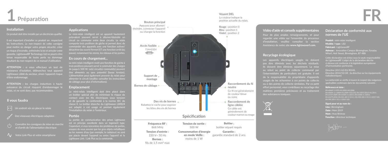

#### **Installation**

#### Ce produit doit être installé par un électricien qualifié.

Il est important d'installer ce produit en respectant les instructions. Le non-respect de cette consigne peut mettre en danger votre propre sécurité, créer un risque d'incendie, enfreindre la loi et annuler votre garantie. LightwaveRF Technology Ltd ne pourra être tenue responsable de toute perte ou dommage résultant du non-respect de ce manuel d'utilisation.

**ATTENTION :** si vous effectuez un test de résistance d'isolation, débranchez tout appareil Lightwave câblé du secteur, sinon l'appareil risque d'être endommagé.

**ATTENTION :** les charges inductives à haute puissance du circuit risquent d'endommager le relais, et ne sont donc pas recommandées.

#### **Il vous faudra**

- Un endroit sûr où placer le relais
- 
- et d'arrêt de l'alimentation électrique
- Az. Votre Link Plus et votre smartphone

#### **Applications**

Le mini-relais intelligent est un appareil hautement polyvalent pouvant servir à allumer/éteindre un circuit ou commuter entre deux circuits. Le relais comporte trois positions de gâche et permet donc de commander des appareils avec une fonction activer/ désactiver (ou ouvrir/fermer) ET une fonction arrêt (ou pause), notamment les stores, les rideaux et les portes.

#### **En cours de chargement...**

Le mini-relais intelligent revêt une fonction de gâche à trois positions pouvant servir à commuter des charges de jusqu'à 500 W. Le(s) circuit(s) commuté(s) peuvent être alimentés ou sans potentiel (basse tension). L'alimentation peut également provenir du relais pour alimenter le circuit (veuillez consulter les instructions de câblage pour plus d'informations).

#### **Emplacement**

un boîtier spécial afin de minimiser le risque de contact avec les fils électriques sous tension et de garantir la conformité à la norme IEC de classe II. Le boîtier étanche du Lightwave LW824 est adapté à cet usage et permet également l'installation du relais à l'extérieur.

#### **Portée**

La portée de communication des prises Lightwave Cependant, si vous rencontrez des problèmes de portée, essayez de vous assurer que les gros objets métalliques ou les masses d'eau (par exemple, le radiateur) ne sont pas placés devant l'appareil ou entre l'appareil et le Lightwave Link / Link Plus ou la commande.



Bornes : fils de 1,5 mm<sup>2</sup> max

## **Voyant DEL**

La couleur indique la position actuelle du relais.

#### **Vidéo d'aide et conseils supplémentaires** Pour de plus amples renseignements, et pour

regarder une vidéo sur l'ensemble du processu d'installation, veuillez consulter la section Assistance de notre site **www.lightwaverf.com.**

## **Recyclage écologique**

Les appareils électriques usagés ne doivent pas être éliminés avec les déchets résiduels. .<br>Ils doivent être éliminés séparément. La mise au rebut au point de collecte communal par l'intermédiaire de particuliers est gratuite. Il est de la responsabilité du propriétaire d'appareils usagés de les acheminer à ces points de collecte ou à des points de collecte similaires. Par ce petit effort personnel, vous contribuez au recyclage des matières premières précieuses et au traitement des substances toxiques.



**Déclaration de conformité aux normes de l'UE** Produit : mini-relais intelligent

Modèle / type : L82 Fabricant : LightwaveRF Adresse : Innovation Campus Birmingham, Faraday Wharf, Holt Street, Birmingham, B7 4BB

radioélectriques)

applicables contenues dans les documents suivants :

#### Référence et date :

EN 60669-1:1999+A1:2002+A2:2008, EN 60669-2-1:2004+A1:2009+A12:210, EN 55015:2013+A1:2015,



Lieu : Birmingham Date: Mars 2019 Nom : Huw Bristow Fonction : directeur technique

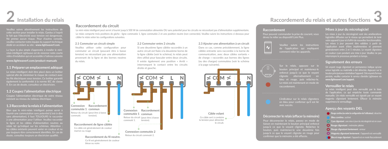# **Installation du relais 2** Installation du relais **3 Raccordement du relais et autres fonctions**

Veuillez suivre attentivement les instructions de cette section pour installer le relais. Gardez à l'esprit le fait que l'électricité sous tension est dangereuse. Ne prenez aucun risque. Pour d'autres conseils, veuillez contacter notre équipe du support technique dédié en accédant au site : **www.lightwaverf.com**.

La façon la plus simple d'apprendre à installer le minirelais intelligent Lightwave est de visionner notre courte vidéo d'installation qui est accessible à l'adresse suivante **www.lightwaverf.com/product-manuals**

#### **1.1 Préparer un emplacement adéquat**

Le relais intelligent doit être placé dans un boîtier spécial afin de minimiser le risque de contact avec les fils électriques sous tension. Ce boîtier garantit également la conformité à la norme IEC de classe II. En cas de doute, consultez un électricien.

**1.2 Coupez l'alimentation électrique** Coupez l'alimentation électrique de votre réseau existant au niveau du tableau électrique.

#### **1.3 Raccordez la relais à l'alimentation**

Bien que le mini-relais intelligent puisse servir à fournir une commutation sans potentiel (c'est-à-dire sans alimentation), il faut TOUJOURS le raccorder la ligne et les câbles d'alimentation neutres au relais tel qu'indiqué sur les schémas. Attention : les câbles existants peuvent varier en couleur et ne pas toujours être correctement identifiés. En cas de doute, consultez toujours un électricien qualifié.

#### **Raccordement du circuit**

Le mini-relais intelligent peut servir à fournir jusqu'à 500 W de commutation alimentée OU sans potentiel pour les circuits ne nécessitant pas d'alimentation supplémentaire. Le relais comporte trois positions de gâche : ligne commutée 1, ligne commutée 2 et une position neutre (non connectée). Veuillez suivre les instructions ci-dessous pour câbler le relais selon les configurations suivantes.

#### **2.1 Commuter un circuit simple**

Veuillez utiliser cette configuration pour commuter un circuit (pouvant être à basse tension) ne nécessitant pas une alimentation provenant de la ligne et des bornes neutres du relais.



Ce fil est généralement de couleur bleue ou noire

#### **2.2 Commuter entre 2 circuits**

Si une deuxième ligne câblée raccordée à un autre circuit est fixée à la deuxième borne de la ligne câblée (voir le schéma), le relais peut être utilisé pour basculer entre deux circuits. Il existe également une position « Arrêt » interrompant le contact entre les circuits droite et gauche.



**2.3 Ajouter une alimentation à un circuit** Dans ce cas, comme précédemment, la ligne câblée entrante sera raccordée à la borne de communication, avec deux câbles sortants « de charge » raccordés aux bornes des lignes (ou des charges) commutées (voir le schéma à la page suivante).



#### **Raccordement**

Pour pouvoir commander la prise de courant, vous devez la relier au dispositif Link Plus.



#### Veuillez suivre les instructions de l'application qui expliquent comment relier les appareils.



Sur le relais, appuyez sur le bouton principal et maintenez-le enfoncé jusqu'à ce que le voyant clignote alternativement en bleu et rouge, puis relâchez-le. Le relais est maintenant en mode de



#### **Déconnecter le relais (effacer la mémoire)**

Pour déconnecter le relais, passez en mode de liaison en maintenant le bouton principal enfoncé bouton, puis maintenez-le une deuxième fois jusqu'à ce que le voyant clignote en rouge pour confirmer que la mémoire a été effacée.

#### **Mises à jour du micrologiciel**

Les mises à jour du micrologiciel sont des améliorations logicielles diffusées sur le réseau qui permettent de tenir votre appareil à jour et d'offrir de nouvelles fonctionnalités. Les mises à jour peuvent être validées à partir de l'application avant d'être implémentées et prennent généralement entre 2 et 5 minutes. Le voyant clignotera en couleur cyan pendant une mise à jour. Veuillez ne pas interrompre le processus pendant ce temps.

#### **Signalement des erreurs**

Un voyant rouge clignotant en permanence indique qu'une erreur logicielle ou matérielle a été détectée. Appuyez sur le bouton principal pour réinitialiser l'appareil. Si le voyant d'erreur persiste, veuillez contacter le service clientèle Lightwave via **www.lightwaverf.com/support**.

#### **Verrouiller le relais**

Le relais intelligent peut être verrouillé par le biais de l'application, ce qui empêche toute commande manuelle. Un relais verrouillé est signalé par un voyant magenta clignotant lentement. Effacer la mémoire supprimera le verrouillage.

#### **Aperçu des voyants DEL**

**Rouge continu (ou selon la configuration de l'utilisateur) :** désactivé

- **Bleu continu :** activé
- **Cyan clignotant :** une mise à jour du micrologiciel est en cours
- **Rouge clignotant :** mémoire pleine
- **Rouge clignotant lentement : erreur**
- **Magenta clignotant lentement :** l'appareil est verrouillé
- **Bleu et rouge clignotant :** l'appareil est en mode Raccordement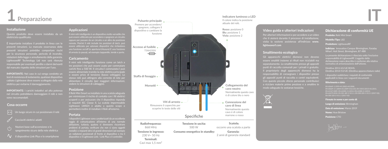

#### **Installazione**

Questo prodotto deve essere installato da un elettricista qualificato.

È importante installare il prodotto in linea con le presenti istruzioni. La mancata osservanza delle presenti istruzioni potrebbe comportare rischi per la sicurezza personale, pericolo di incendio, violazioni della legge e annullamento della garanzia. LightwaveRF Technology Ltd non sarà ritenuta responsabile per eventuali perdite o danni derivanti dal mancato rispetto delle istruzioni per l'uso.

**IMPORTANTE:** Nel caso in cui venga condotto un test di resistenza di isolamento, qualsiasi dispositivo cablato Lightwave deve essere scollegato dalla rete elettrica per evitarne il danneggiamento.

**IMPORTANTE:** i carichi induttivi ad alta potenza nel circuito potrebbero danneggiare il relè e non sono raccomandati.

#### **Cosa occorre**

Un luogo sicuro in cui posizionare il relè

#### Cacciaviti elettrici adatti

- ozioni base sull'accensione e lo egnimento sicuro della rete elettrica
- Il dispositivo Link Plus e lo smartphone

#### **Applicazioni**

Il mini relè intelligente è un dispositivo molto versatile che remota. Poiché il relè include tre posizioni di latch, può essere utilizzato per azionare dispositivi che richiedono di arresto (o pausa), ad esempio tapparelle, tende e porte.

#### **Caricamento**

Il mini relè intelligente funziona come un latch a tre posizioni che può essere usato per commutare carichi fino a 500 W. Il circuito/i commutato/i può essere alimentato tramite la rete elettrica principale o essere privo di tensione (basso voltaggio). Lo stesso relè può attingere alla corrente di rete per alimentare il circuito (per maggiori informazioni, vedere le istruzioni di cablaggio).

#### **Posizione**

Il Relè Mini Smart va installato in una scatola adeguata per minimizzare il rischio di contatto con i fili elettrici scoperti e per assicurare che il dispositivo risponda ai requisiti IEC Classe II. La scatola impermeabile Lightwave LW824 è adatta a questo scopo e permetterà inoltre di installare il Relè all'esterno.

#### **Portata**

I dispositivi Lightwave sono caratterizzati da un eccellente raggio di comunicazione all'interno di una normale abitazione, tuttavia, qualora si dovessero riscontrare problemi di portata, verificare che non ci siano oggetti metallici o impianti idrici di grandi dimensioni (ad esemp un radiatore) posizionati di fronte al dispositivo o tra il dispositivo e il Lightwave Link / Link Plus o il controller.



#### **Video guida e ulteriori indicazioni**

Per ulteriori informazioni e per accedere a un video che ti aiuterà durante il processo di installazione, visita la sezione assistenza all'indirizzo **www. lightwaverf.com**

#### **Smaltimento ecologico**

Gli apparecchi elettrici dismessi non devono essere smaltiti insieme ai rifiuti non riciclabili ma separatamente. Lo smaltimento presso gli appositi punti di raccolta comunali per i privati è gratuito. .<br><u>Il proprietario degli apparecchi dismessi ha la</u> responsabilità di consegnare i dispositivi presso gli appositi punti di raccolta o centri equivalenti. Con questo piccolo sforzo personale contribuisci a riciclare materie prime preziose e a smaltire in modo adeguato le sostanze tossiche.



#### Dichiarazione di conformità UE

Prodotto: Relè Mini Smart

Modello/Tipo: L82

Produttore: LightwaveRF

Indirizzo: Innovation Campus Birmingham, Faraday Wharf, Holt Street, Birmingham, B7 4BB

responsabilità di LighwaveRF. L'oggetto della normativa di armonizzazione dell'Unione.

applicabili in linea con i seguenti documenti:

#### Riferimento e data:

EN 60669-1:1999+A1:2002+A2:2008, EN 60669-2-1:2004+A1:2009+A12:210, EN 55015:2013+A1:2015, EN 61547:2009, EN 61000-3-2:2014, EN 61000-3-3:2013,

Firmato in nome e per conto di:

Luogo di emissione: Birmingham

Data di emissione: Marzo 2019

Nome: Huw Bristow

Posizione: CTO

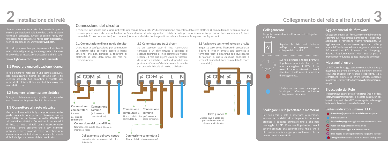# **Installazione del relè**

Seguire attentamente le istruzioni fornite in questa sezione per installare il relè. Ricordare che la tensione elettrica è pericolosa. Evitare di correre rischi. Per ulteriori consigli, contattare il nostro team di assistenza tecnica dedicato al link **www.lightwaverf.com**.

Il modo più semplice per imparare a installare il breve video di installazione accessibile all'indirizzo **www.lightwaverf.com/product-manuals**

#### **1.1 Preparare una collocazione idonea**

Il Relè Smart va installato in una scatola adeguata per minimizzare il rischio di contatto con i fili elettrici scoperti. Ciò garantirà il rispetto dei requisiti IEC Classe II. In caso di dubbi, rivolgersi a un elettricista.

**1.2 Spegnere l'alimentazione elettrica** Spegnere l'alimentazione di rete del circuito elettrico esistente presso l'unità di consumo.

#### **1.3 Connettere alla rete elettrica**

perla commutazione priva di tensione (senza elettricità), per funzionare necessita SEMPRE di alimentazione elettrica. Connettere i cavi elettrici di linea e neutro al relè come mostrato nello schema. Tenere presente che i cavi esistenti potrebbero avere colori diversi e potrebbero non essere sempre etichettati correttamente. In caso di dubbi, rivolgersi a un elettricista qualificato.

## **Connessione del circuito**

Il mini relè intelligente può essere utilizzato per fornire fino a 500 W di commutazione alimentata dalla rete elettrica O commutazione separata priva di tensione per i circuiti che non richiedono un'alimentazione di rete aggiuntiva. I latch del relè possono assumere tre posizioni: linea commutata 1, linea commutata 2, posizione neutra (non connesso). Attenersi alle istruzioni seguenti per cablare il relè con le seguenti configurazioni.

#### **2.1 Commutazione di un singolo circuito**

Usare questa configurazione per commutare un circuito (che potrebbe essere a bassa tensione) che non richiede la fornitura di elettricità di rete dalla linea del relè né terminali neutri.



blu o nero

#### **2.2 Commutazione tra 2 circuiti**

Se un secondo cavo di linea commutata connesso a un altro circuito è collegato al secondo terminale di linea commutata (vedere schema), il relè può essere usato per passare da un circuito all'altro. È inoltre disponibile una posizione di "arresto" che interrompe il contatto con entrambi i circuiti di sinistra e di destra.



Ritorno dal circuito commutato 2.

In questo caso, come illustrato in precedenza, il cavo di linea in entrata sarà connesso al terminale "com" e ci saranno due cavi separati di "carico" in uscita ciascuno connesso a terminali separati di linea commutata (o carico commutato).

**2.3 Aggiungere tensione di rete a un circuito**



#### **Collegamento**

Per poter comandare il relè, occorrerà collegarlo a Link Plus.



#### Sul relè, premere e tenere premuto il pulsante principale fino a che rilasciare. Il relè è ora in modalità di collegamento. **X COM X L N**

L'indicatore sul relè lampeggerà in blu per confermare che è stato collegato correttamente.

#### **Scollegare il relè (resettare la memoria)**

Per scollegare il relè e resettare la memoria, entrare in modalità di collegamento tenendo lampeggia il LED. Rilasciare il pulsante, quindi tenerlo premuto una seconda volta fino a che il LED rosso non lampeggia per confermare che la memoria è stata resettata.

#### **Aggiornamenti del firmware**

Gli aggiornamenti del firmware sono miglioramenti software over-the-air che mantengono il dispositivo aggiornato e forniscono nuove funzionalità. Gli aggiornamenti devono essere approvati dall'App prima dell'implementazione e in genere richiedono 2-5 minuti. Un LED di colore azzurro lampeggia durante l'aggiornamento. Non interrompere il procedimento durante questo intervallo di tempo.

#### **Messaggi di errore**

Un LED rosso lampeggia costantemente nel caso venga riscontrato un errore di software o hardware. Premere il pulsante principale per resettare il dispositivo. Se la segnalazione luminosa di errore persiste, contattare l'assistenza Lightwave all'indirizzo **www.lightwaverf.com/ support.**

#### **Bloccaggio del Relè**

Il Relè Smart può essere "bloccato" utilizzando l'App in modo da disattivare l'azionamento manuale mediante pulsante. Un Relè bloccato è segnalato da un LED rosso magenta che lampeggia lentamente. Il reset della memoria rimuove il blocco.

#### **Sintesi indicatori luminosi LED**

**Rosso fisso (o personalizzato dall'utente):** spento

- **Blu fisso:** acceso
- **Blu ciano lampeggiante:** aggiornamento firmware in corso
- **Rosso lampeggiante:** memoria piena
- **Rosso che lampeggia lentamente:** errore
- **Rosso magenta che lampeggia lentamente:** il dispositivo è bloccato
	- **Lampeggiante blu e rosso:** il dispositivo è in modalità di collegamento

# **2 Collegamento del relè e altre funzioni 3**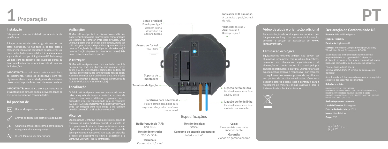

#### **Instalação**

Este produto deve ser instalado por um eletricista qualificado.

É importante instalar este artigo de acordo com estas instruções. Ao não fazê-lo, poderá estar a colocar em risco a sua segurança pessoal, criar um risco de incêndio, violar a lei e irá também anular a garantia do artigo. A LightwaveRF Technology Ltd não será responsável por qualquer perda ou dano resultantes da leitura incorreta do manual

**IMPORTANTE:** se realizar um teste de resistência do isolamento, todos os dispositivos com fios Lightwave devem estar desligados da corrente, caso contrário poderão ocorrer danos na unidade.

**IMPORTANTE:** a existência de cargas indutivas de alta potência no circuito podem provocar danos ao relé, pelo que não são recomendadas.

#### **Irá precisar de**

.<br>haves de fendas de eletricista adequadas

Conhecimentos sobre como ligar/desligar a energia elétrica em segurança

O Link Plus e o seu smartphone

#### **Aplicações**

O Mini relé inteligente é um dispositivo versátil que pode ser utilizado para ligar/desligar remotamente um circuito ou comutar entre dois circuitos. Uma vez que possui três posições de bloqueio, pode ser utilizado para operar dispositivos que necessitem de uma função de ligar/desligar (ou abrir/fechar) E de uma função de parar (ou colocar em pausa), tais

#### **A carregar**

O Mini relé inteligente atua como um fecho com três posições que pode ser utilizado para comutar cargas de até 500 W. O(s) circuito(s) comutado(s) pode(m) ser ligado(s) à corrente ou não ter(em) tensão (tensão baixa). A corrente elétrica pode também ser obtida do próprio relé para alimentar o circuito (consulte as instruções de ligação elétrica para mais informações).

#### **Localização**

O Mini relé inteligente deve ser armazenado numa caixa adequada de forma a minimizar o risco de IEC Class II. A caixa impermeável do Lightwave LW824 pode ser utilizada para este efeito e irá também permitir que o relé seja instalado no exterior.

#### **Alcance**

Os dispositivos Lightwave têm um excelente alcance de comunicação numa habitação normal, no entanto, se tiver problemas de alcance, deverá certificar-se de que água (por exemplo, radiadores) não estão posicionados Lightwave Link/Link Plus ou controlador.

Terminais: Cabos máy. 1,5 mm<sup>2</sup>



**Indicador LED luminoso** A cor indica a posição atual

2 anos de garantia padrão

#### **Vídeo de ajuda e orientação adicional**

Para orientação adicional, e para ver um vídeo que irá guiá-lo ao longo do processo de instalação, consulte a secção de assistência em **www. lightwaverf.com.**

#### **Eliminação ecológica**

Equipamentos elétricos antigos não devem ser eliminados juntamente com resíduos domésticos, devendo ser eliminados separadamente. A eliminação no ponto de recolha municipal por entidades particulares é gratuita. O proprietário de equipamentos antigos é responsável por entregar os equipamentos nesses pontos de recolha ou em pontos de recolha semelhantes. Com este pequeno esforço pessoal está a contribuir para a reciclagem de matérias-primas valiosas e para o tratamento de substâncias tóxicas.



Morada: Innovation Campus Birmingham, Faraday Wharf, Holt Street, Birmingham, B7 4BB

Declaração de Conformidade UE Produto: Mini relé inteligente Modelo/Tipo: L82 Fabricante: LightwaveRF

responsabilidade da LightwaveRF. O objeto da declaração acima descrita está em conformidade com a legislação comunitária de harmonização aplicável.

de Rádio)

A conformidade é demonstrada ao cumprir os requisitos

#### Referência e data:

EN 60669-1:1999+A1:2002+A2:2008, EN 60669-2-1:2004+A1:2009+A12:210, EN 55015:2013+A1:2015, EN 62479:2010, EN 301 489-3 V2.1.1, EN 300 220-1 V3.1.1 (2017-02), EN 300 220-2 V3.1.1 (2017-02)

Assinado por e em nome de: Local de Emissão: Birmingham

Data de Emissão: Março 2019

Nome: Huw Bristow

Cargo: CTO

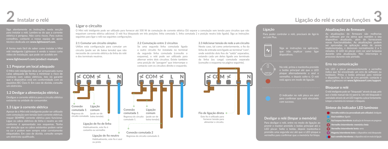

Siga atentamente as instruções nesta secção para instalar o relé. Lembre-se de que a corrente elétrica é perigosa. Não corra riscos. Para outros conselhos, contacte a nossa equipa de apoio técnico dedicada em **www.lightwaverf.com**.

A forma mais fácil de saber como instalar o Mini relé inteligente Lightwave é vendo o nosso curto vídeo de instalação, que pode ser acedido em **www.lightwaverf.com/product-manuals**

#### **1.1 Preparar um local adequado**

O Mini relé inteligente deve ser armazenado numa caixa adequada de forma a minimizar o risco de contacto com cabos elétricos. Isto irá garantir que o dispositivo está em conformidade com os equisitos IEC Class II. Em caso de dúvida, consulte um eletricista.

**1.2 Desligar a alimentação elétrica** Desligue a corrente elétrica para o circuito elétrico existente na unidade do consumidor.

#### **1.3 Ligar à corrente elétrica**

com comutação sem tensão (sem corrente elétrica), requer SEMPRE corrente elétrica para funcionar. Ligue os cabos elétricos de linha e neutro ao relé conforme é apresentado nos esquemas. Tenha em atenção que os cabos existentes podem variar na cor e podem nem sempre estar corretamente etiquetados. Em caso de dúvida, consulte sempre um eletricista qualificado.

#### **Ligar o circuito**

O Mini relé inteligente pode ser utilizado para fornecer até 500 W de comutação de corrente elétrica OU separar a comutação sem tensão para circuitos que não requeiram corrente elétrica adicional. O relé fica bloqueado em três posições: linha comutada 1, linha comutada 2 e posição neutra (não ligado). Siga as instruções seguintes para ligar o relé nas seguintes configurações.

#### **2.1 Comutar um circuito simples**

Utilize esta configuração para comutar um circuito (pode ser de baixa tensão) que não necessite de corrente elétrica da linha do relé e dos terminais neutros.



#### **2.2 Comutação entre 2 circuitos**

Se uma segunda linha comutada ligada a outro circuito for instalada no terminal da segunda linha comutada (consulte o esquema), o relé pode ser utilizado para alternar entre dois circuitos. Existe também uma posição de "paragem" que interrompe o contacto com os circuitos direito e esquerdo.



**2.3 Adicionar tensão de rede a um circuito** Neste caso, tal como anteriormente, o fio da linha de entrada será ligado ao terminal "com", onde existirão dois fios de "saída" separados, estando cada um deles ligado aos terminais da linha (ou carga) comutada separada (consulte o esquema na página seguinte).



#### **Ligação**

Para poder controlar o relé, precisará de ligá-lo ao Link Plus.



Siga as instruções na aplicação, que irão explicar como ligar dispositivos.

No relé, prima e mantenha premido o botão principal até que o LED pisque alternadamente a azul e vermelho, e depois solte-o. O relé está agora em modo de ligação.



O indicador no relé pisca em azul para confirmar que está vinculado

#### **Desligar o relé (limpar a memória)**

Para desligar o relé, entre no modo de ligação ao premir e manter premido o botão principal até o LED piscar. Solte o botão, depois mantenha-o premido uma segunda vez até que o LED pisque a vermelho para confirmar que a memória foi limpa.

#### **Atualizações de firmware**

As atualizações de firmware são melhorias de software por via aérea que mantêm o seu dispositivo atualizado, além de fornecerem novas funcionalidades. As atualizações podem ser aprovadas na aplicação antes de serem implementadas, e demoram normalmente 2 a 5 minutos. O LED irá piscar com cor azul turquesa durante uma atualização. Não interrompa o processo durante este período.

#### **Erro na comunicação**

Um LED a piscar permanentemente a vermelho indica que foi encontrado um erro de software ou hardware. Prima o botão principal para reiniciar o dispositivo. Se a luz de erro persistir, contacte o apoio Lightwave em **www.lightwaverf.com/support**.

#### **Bloquear o relé**

O relé inteligente pode ser "bloqueado" através da app, pelo que o botão manual não irá operá-la. Um relé bloqueado é assinalado através de um LED magenta a piscar lentamente. Limpar a memória irá remover o bloqueio.

#### **Síntese do indicador LED luminoso**

**Vermelho estático (ou personalizado pelo utilizador):** desligado

- **Azul estático:** ligado
- **Azul turquesa intermitente:** atualização de firmware em progresso
- **Vermelho intermitente: memória cheia**
- **Vermelho intermitente lento:** erro
- **Magenta intermitente lento:** o dispositivo está bloqueado
- **Azul e vermelho intermitentes:** o dispositivo está em modo de ligação

**2 Ligação do relé e outras funções 3**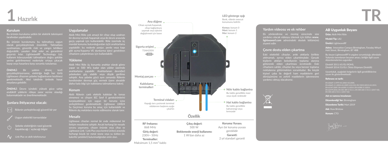

#### **Kurulum**

Bu ürünün kurulumu yetkin bir elektrik teknisyeni tarafından yapılmalıdır.

Bu ürünün kurulumunu bu talimatlara uygun olarak gerçekleştirmek önemlidir. Talimatlara uyulmaması, güvenlik riski ve yangın tehlikesi doğurabilir, yasaları ihlal eder ve garantinizi kullanım kılavuzundaki talimatların doğru şekilde yerine getirilmemesi nedeniyle ortaya çıkacak kayıp veya hasarlara karşı sorumlu tutulamaz.

Lightwave cihazının şebeke bağlantısının kesilmesi gerekmektedir. Aksi takdirde ünitede hasar

bulunmaktadır ve önerilmemektedir.

#### **Şunlara ihtiyacınız olacak:**

#### Uygun elektrikli tornavidalar

- ı<br>apatılacağı / acılacağı bilgisi
- 

#### **Uygulamalar**

Akıllı Mini Röle çok amaçlı bir cihaz olup uzaktan bir devreyi açmak/kapamak veya iki devre arasında geçiş yapmak için kullanılabilir. Röle üzerinde üç mandal konumu bulunduğundan üçlü anahtarlama yapılabilir; bu nedenle panjur, perde veya kapı gibi açma/kapama VE durdurma işlevi gerektiren cihazların çalıştırılması için kullanılabilir.

#### **Yükleme**

Akıllı Mini Röle üç konumlu anahtar olarak görev yapar ve 500 W'a kadar olan yükler üzerinde anahtarlama yapabilir. Anahtarlanan devre(ler) şebekeden güç alabilir veya düşük gerilime sahiptir. Ana şebeke gücü aynı zamanda Rölenin kendisinden devreye güç vermek üzere alınabilir (daha fazla bilgi için kablolama talimatlarına bakın).

#### **Konum**

Akıllı Rölenin canlı elektrik kabloları ile temas karşılayabilmesi için uygun bir koruma içine Su Geçirmez koruma bu amaç için kullanılabilir ve Rölenin dış mekânlara monte edilmesine olanak tanır.

#### **Mesafe**

Lightwave cihazları normal bir evde mükemmel bir iletişim mesafesine sahiptir. Ancak herhangi bir mesafe sorunu yaşarsanız, cihazın önünde veya cihaz ve Lightwave Link / Link Plus veya kontrol ünitesi arasında herhangi büyük bir metal nesne veya su kütlesi (ör. kalorifer petekleri) bulunmadığından emin olun.



#### **Yardım videosu ve ek rehber**

Ek yönlendirme ve montaj sürecinde size yardımcı olacak videoyu izlemek için lütfen **www. lightwaverf.com** adresindeki destek bölümünü ziyaret edin

#### **Çevre dostu elden çıkartma**

Eski elektrikli cihazlar, artık atıklarla birlikte atılmamalı, ayrıca elden çıkartılmalıdır. Gerçek kişilerin atıkları belediyenin toplama alanına götürerek elden çıkartması ücretsizdir. Eski cihazların sahibi, cihazları bu veya benzer toplama noktalarına götürmekten sorumludur. Bu küçük kişisel çaba ile değerli ham maddelerin geri dönüşümüne ve zehirli maddelerin işlenmesine yardımcı olmuş olacaksınız.



AB Uygunluk Beyanı

Ürün: Akıllı Mini Röle

Model/Tip: L82

Üretici: LightwaveRF

Adres: Innovation Campus Birmingham, Faraday Wharf, Holt Street, Birmingham, B7 4BB

Bu beyan LightwaveRF'in yegâne sorumluluğu altındadır. Yukarıda tanımlanan beyanın amacı, birliğin ilgili uyum

Direktif 2014/53/EU: (Telsiz Ekipmanı Direktifi)

Uyumluluk, aşağıdaki belgelerin ilgili gerekliliklerine uyum ile gösterilmektedir:

#### Referans ve tarih:

EN 60669-2-1:2004+A1:2009+A12:210, EN 55015:2013+A1:2015, EN 61547:2009, EN 61000-3-2:2014, EN 61000-3-3:2013, EN 62479:2010, EN 301 489-3 V2.1.1, EN 300 220-1 V3.1.1 (2017-02),

Adı ve namına imzalanan:

Düzenlendiği Yer: Birmingham

Düzenleme Tarihi: Mart 2019

Adı: Huw Bristow

Konum: CTO

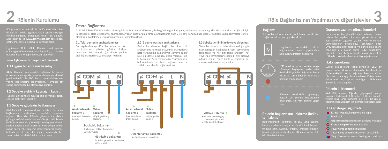

Röleyi monte etmek için bu bölümdeki talimatları tehlikeli olduğunu unutmayın. Hiçbir risk almayın. Diğer öneriler için **www.lightwaverf.com** adresinden özel teknik destek ekibimiz ile iletişime geçin.

Lightwave Akıllı Mini Rölenin nasıl monte edileceğini öğrenmenin en kolay yolu, şu adreste bulunan kısa montaj videomuzu izlemektir:

**www.lightwaverf.com/product-manuals**

#### **1.1 Uygun bir konumu hazırlayın**

Akıllı Rölenin canlı elektrik kabloları ile temas etmemesi için uygun bir koruma içine yerleştirilmesi gerekmektedir. Bu IEC Sınıf II gereksinimlerinin yerine getirilmesini sağlayacaktır. Herhangi bir şüphe durumunda bir elektrikçiye danışın.

## **1.2 Şebeke elektrik kaynağını kapatın** şebeke elektriğini kapatın.

#### **1.3 Şebeke gücünün bağlanması**

bağlamadan) anahtarlama yapabilir olmasına rağmen, Akıllı Mini Rölenin çalışması için daima güce gereksinimi vardır. Hat ve nötr güç kablolarının bağlantılarını şemada gösterildiği şekilde yapın. Mevcut bulundurun. Herhangi bir şüphe durumunda, her

#### **Devre Bağlantısı**

Akıllı Mini Röle 500 W'a kadar şebeke gücü anahtarlaması VEYA ek şebeke gücüne gerek duymayan devrelerde ayrıca gerilimsiz anahtarlama sağlamak için kullanılabilir. Röle üç konumlu anahtarlama yapar: anahtarlama hattı 1, anahtarlama hattı 2 ve nötr konum (bağlı değil). Aşağıdaki yapılandırmalara yönelik olarak röle kablolaması için aşağıda verilen talimatları izleyin.

#### **2.1 Tekli devrenin anahtarlanması**

Bu yapılandırmayı Röle hattından ve nötr terminallerden şebeke gücüne ihtiyaç duymayan bir devrede (bu düşük gerilim olabilir) anahtarlama yapmak için kullanın.



kahverengidir

**2.2 2 devre arasında anahtarlama** Başka bir devreye bağlı olan ikinci bir anahtarlama hattı kablosu, ikinci anahtarlama hattı terminaline bağlandıysa (şemaya bakın) röle iki devre arasında geçiş yapmak için kullanılabilir. Aynı zamanda bir "dur" konumu bulunmaktadır ve hem sağdaki hem de soldaki devreler ile bağlantıyı keser.



Anahtarlı devre 2'den dönüş.

**2.3 Şebeke geriliminin devreye eklenmesi** Böyle bir durumda, daha önce olduğu gibi dışarıdan gelen hat kablosu "com" terminaline bağlanacak ve her biri farklı anahtarlı hat (veya yük) terminalerine bağlı iki ayrı dışarıya aktarım yapan "güç" kablosu olacaktır (bir sonraki sayfadaki şemaya bakın).



#### **Bağlantı**

Röleye komut verebilmek için Rölenin Link Plus ile bağlantısını kurmanız gerekecektir.







Rölenin üzerindeki gösterge, başarılı bir şekilde bağlandığını onaylamak için mavi renkte yanıp

#### **Rölenin bağlantısını kaldırma (bellek temizleme)**

Röle bağlantısını kaldırmak için LED yanıp sönene kadar açma/kapama düğmesine basılı tutarak bağlantı moduna girin. Düğmeyi bırakın, ardından belleğin temizlendiğini teyit etmek için LED yanıp sönene dek ikinci kez basılı tutun.

#### **Donanım yazılımı güncellemeleri**

Donanım yazılım güncellemeleri, kablosuz erişim sistemi ile yapılan, cihazınızı güncel tutan ve yeni özellikler sağlayan yazılım iyileştirmeleridir. Güncellemeler, uygulamaya konmadan önce Uygulamadan onaylanabilir ve güncelleme işlemi genellikle 2-5 dakika sürer. LED, güncelleme sırasında camgöbeği renginde yanıp sönecektir. Lütfen bu noktada işlemi kesintiye uğratmayın.

#### **Hata raporlama**

Sürekli kırmızı olarak yanıp sönen bir LED, bir göstermektedir. Ana düğmeye basarak cihazı sıfırlayın. Hata ışığı devam ederse, lütfen www. lightwaverf.com/support aracılığıyla Lightwave destek ile irtibata geçin.

#### **Rölenin kilitlenmesi**

Akıllı Röle, manuel düğmeler çalışmayacak şekilde Uygulama kullanılarak "kilitlenebilir". Kilitlenen bir röle, yavaşça yanıp sönen kırmızımsı mor renkli bir LED ile gösterilmektedir. Belleğin temizlenmesi kilidi kaldıracaktır.

#### **LED gösterge ışığı özeti**

**Kırmızı (veya kullanıcı tercihi):** kapalı

- **Mavi:** açık
- **Yanıp sönen camgöbeği:** donanım yazılımı güncellemesi devam ediyor
- **Kırmızı yanıp sönüyor:** hafıza dolu **Yavaş yanıp sönen kırmızı:** hata
- 
- **Yavaş yanıp sönen kırmızı-mor:** cihaz kilitli
- **Yanıp sönen mavi ve kırmızı:** cihaz bağlanma modunda

# **2 Röle Bağlantısının Yapılması ve diğer işlevler 3**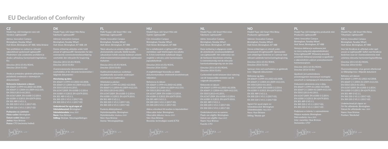## **EU Declaration of Conformity**

#### **Referenční dokument a datum:**

**Podepsáno za a jménem: Místo vydání:** Birmingham **Jméno:** Huw Bristow **Pozice:** CTO (technický ředitel)



Henvisning og dato:

Udstedelsessted: Birmingham Udstedelsesdato: Marts 2019 Navn: Huw Bristow

Stilling: Direktør, Teknologiafdelingen



EN 300 220-2 V3.1.1 (2017-02)

Asema: Teknologiajohtaja



jogszabályoknak.

teljesítése:

EN 300 220-2 V3.1.1 (2017-02)



**NL**

EN 55015:2013+A1:2015,



Utstedelsessted: Birmingham



Producent: LightwaveRF

firmy LightwaveRF. Wskazany powyżej





Ort för utfärdande: Birmingham

Stilling: Teknisk sjef